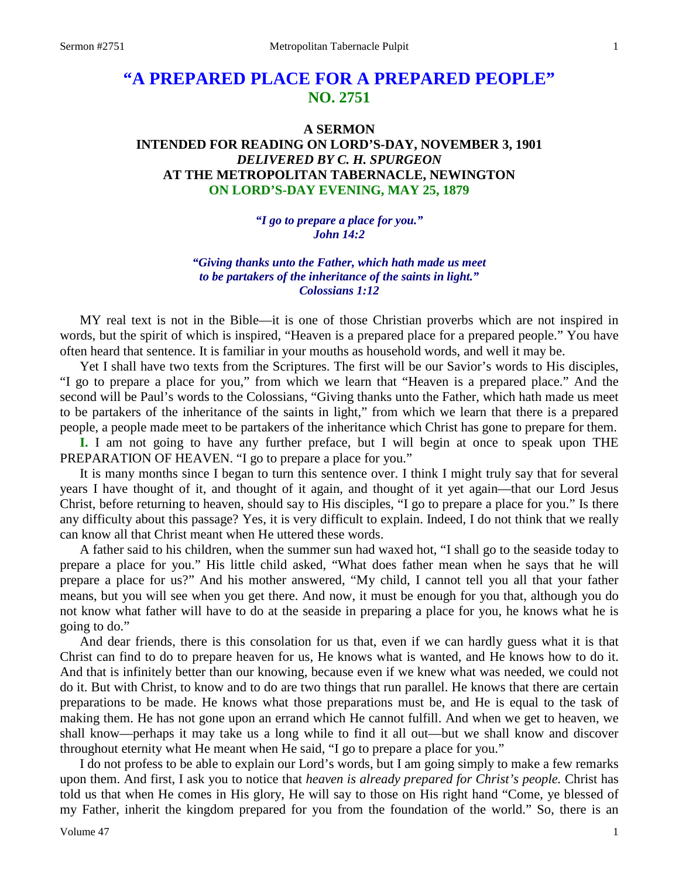# **"A PREPARED PLACE FOR A PREPARED PEOPLE" NO. 2751**

# **A SERMON INTENDED FOR READING ON LORD'S-DAY, NOVEMBER 3, 1901** *DELIVERED BY C. H. SPURGEON* **AT THE METROPOLITAN TABERNACLE, NEWINGTON ON LORD'S-DAY EVENING, MAY 25, 1879**

*"I go to prepare a place for you." John 14:2*

*"Giving thanks unto the Father, which hath made us meet to be partakers of the inheritance of the saints in light." Colossians 1:12*

MY real text is not in the Bible—it is one of those Christian proverbs which are not inspired in words, but the spirit of which is inspired, "Heaven is a prepared place for a prepared people." You have often heard that sentence. It is familiar in your mouths as household words, and well it may be.

Yet I shall have two texts from the Scriptures. The first will be our Savior's words to His disciples, "I go to prepare a place for you," from which we learn that "Heaven is a prepared place." And the second will be Paul's words to the Colossians, "Giving thanks unto the Father, which hath made us meet to be partakers of the inheritance of the saints in light," from which we learn that there is a prepared people, a people made meet to be partakers of the inheritance which Christ has gone to prepare for them.

**I.** I am not going to have any further preface, but I will begin at once to speak upon THE PREPARATION OF HEAVEN. "I go to prepare a place for you."

It is many months since I began to turn this sentence over. I think I might truly say that for several years I have thought of it, and thought of it again, and thought of it yet again—that our Lord Jesus Christ, before returning to heaven, should say to His disciples, "I go to prepare a place for you." Is there any difficulty about this passage? Yes, it is very difficult to explain. Indeed, I do not think that we really can know all that Christ meant when He uttered these words.

A father said to his children, when the summer sun had waxed hot, "I shall go to the seaside today to prepare a place for you." His little child asked, "What does father mean when he says that he will prepare a place for us?" And his mother answered, "My child, I cannot tell you all that your father means, but you will see when you get there. And now, it must be enough for you that, although you do not know what father will have to do at the seaside in preparing a place for you, he knows what he is going to do."

And dear friends, there is this consolation for us that, even if we can hardly guess what it is that Christ can find to do to prepare heaven for us, He knows what is wanted, and He knows how to do it. And that is infinitely better than our knowing, because even if we knew what was needed, we could not do it. But with Christ, to know and to do are two things that run parallel. He knows that there are certain preparations to be made. He knows what those preparations must be, and He is equal to the task of making them. He has not gone upon an errand which He cannot fulfill. And when we get to heaven, we shall know—perhaps it may take us a long while to find it all out—but we shall know and discover throughout eternity what He meant when He said, "I go to prepare a place for you."

I do not profess to be able to explain our Lord's words, but I am going simply to make a few remarks upon them. And first, I ask you to notice that *heaven is already prepared for Christ's people.* Christ has told us that when He comes in His glory, He will say to those on His right hand "Come, ye blessed of my Father, inherit the kingdom prepared for you from the foundation of the world." So, there is an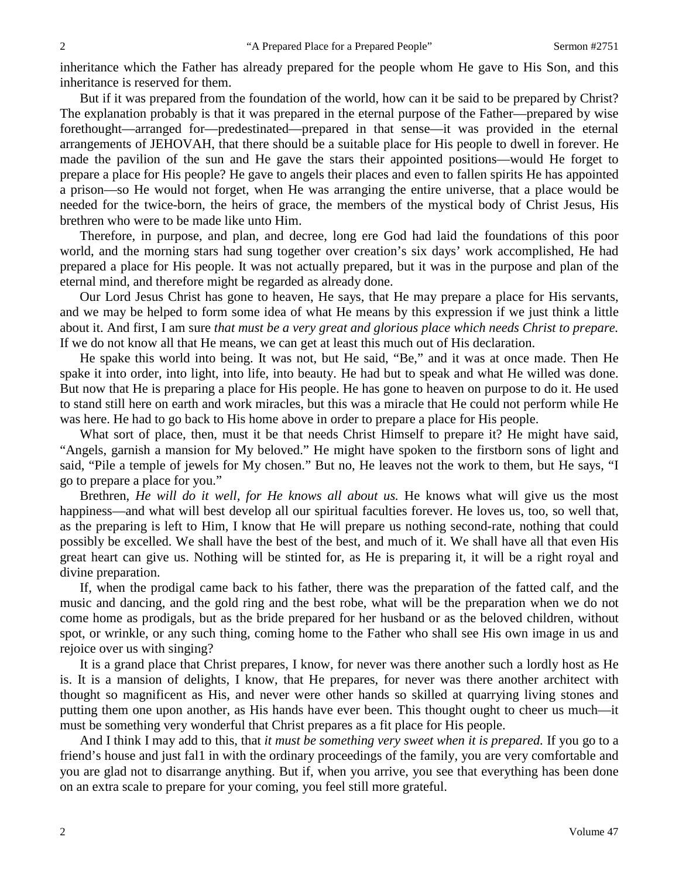inheritance which the Father has already prepared for the people whom He gave to His Son, and this inheritance is reserved for them.

But if it was prepared from the foundation of the world, how can it be said to be prepared by Christ? The explanation probably is that it was prepared in the eternal purpose of the Father—prepared by wise forethought—arranged for—predestinated—prepared in that sense—it was provided in the eternal arrangements of JEHOVAH, that there should be a suitable place for His people to dwell in forever. He made the pavilion of the sun and He gave the stars their appointed positions—would He forget to prepare a place for His people? He gave to angels their places and even to fallen spirits He has appointed a prison—so He would not forget, when He was arranging the entire universe, that a place would be needed for the twice-born, the heirs of grace, the members of the mystical body of Christ Jesus, His brethren who were to be made like unto Him.

Therefore, in purpose, and plan, and decree, long ere God had laid the foundations of this poor world, and the morning stars had sung together over creation's six days' work accomplished, He had prepared a place for His people. It was not actually prepared, but it was in the purpose and plan of the eternal mind, and therefore might be regarded as already done.

Our Lord Jesus Christ has gone to heaven, He says, that He may prepare a place for His servants, and we may be helped to form some idea of what He means by this expression if we just think a little about it. And first, I am sure *that must be a very great and glorious place which needs Christ to prepare.*  If we do not know all that He means, we can get at least this much out of His declaration.

He spake this world into being. It was not, but He said, "Be," and it was at once made. Then He spake it into order, into light, into life, into beauty. He had but to speak and what He willed was done. But now that He is preparing a place for His people. He has gone to heaven on purpose to do it. He used to stand still here on earth and work miracles, but this was a miracle that He could not perform while He was here. He had to go back to His home above in order to prepare a place for His people.

What sort of place, then, must it be that needs Christ Himself to prepare it? He might have said, "Angels, garnish a mansion for My beloved." He might have spoken to the firstborn sons of light and said, "Pile a temple of jewels for My chosen." But no, He leaves not the work to them, but He says, "I go to prepare a place for you."

Brethren, *He will do it well, for He knows all about us.* He knows what will give us the most happiness—and what will best develop all our spiritual faculties forever. He loves us, too, so well that, as the preparing is left to Him, I know that He will prepare us nothing second-rate, nothing that could possibly be excelled. We shall have the best of the best, and much of it. We shall have all that even His great heart can give us. Nothing will be stinted for, as He is preparing it, it will be a right royal and divine preparation.

If, when the prodigal came back to his father, there was the preparation of the fatted calf, and the music and dancing, and the gold ring and the best robe, what will be the preparation when we do not come home as prodigals, but as the bride prepared for her husband or as the beloved children, without spot, or wrinkle, or any such thing, coming home to the Father who shall see His own image in us and rejoice over us with singing?

It is a grand place that Christ prepares, I know, for never was there another such a lordly host as He is. It is a mansion of delights, I know, that He prepares, for never was there another architect with thought so magnificent as His, and never were other hands so skilled at quarrying living stones and putting them one upon another, as His hands have ever been. This thought ought to cheer us much—it must be something very wonderful that Christ prepares as a fit place for His people.

And I think I may add to this, that *it must be something very sweet when it is prepared.* If you go to a friend's house and just fal1 in with the ordinary proceedings of the family, you are very comfortable and you are glad not to disarrange anything. But if, when you arrive, you see that everything has been done on an extra scale to prepare for your coming, you feel still more grateful.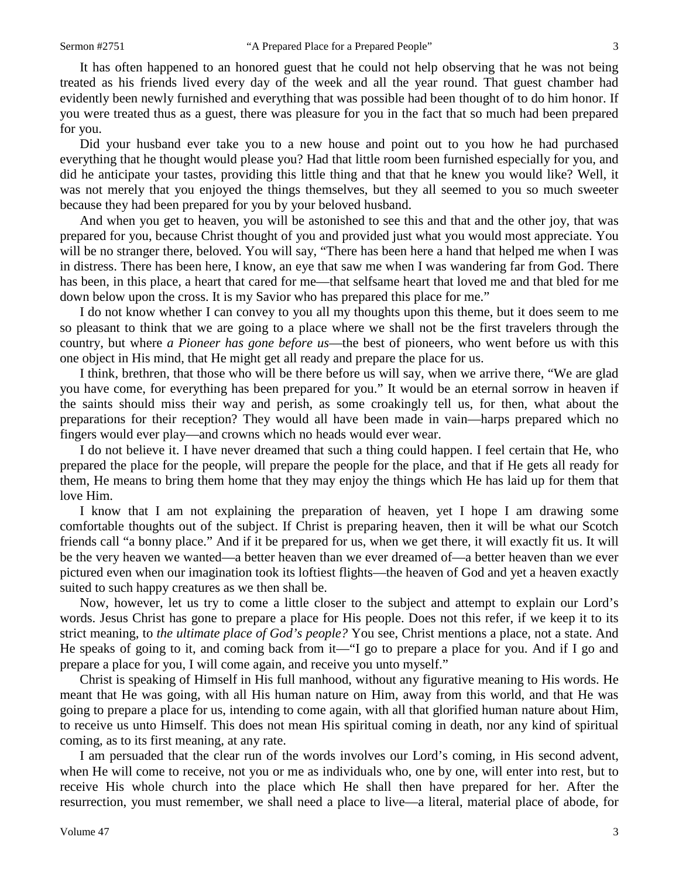It has often happened to an honored guest that he could not help observing that he was not being treated as his friends lived every day of the week and all the year round. That guest chamber had evidently been newly furnished and everything that was possible had been thought of to do him honor. If you were treated thus as a guest, there was pleasure for you in the fact that so much had been prepared for you.

Did your husband ever take you to a new house and point out to you how he had purchased everything that he thought would please you? Had that little room been furnished especially for you, and did he anticipate your tastes, providing this little thing and that that he knew you would like? Well, it was not merely that you enjoyed the things themselves, but they all seemed to you so much sweeter because they had been prepared for you by your beloved husband.

And when you get to heaven, you will be astonished to see this and that and the other joy, that was prepared for you, because Christ thought of you and provided just what you would most appreciate. You will be no stranger there, beloved. You will say, "There has been here a hand that helped me when I was in distress. There has been here, I know, an eye that saw me when I was wandering far from God. There has been, in this place, a heart that cared for me—that selfsame heart that loved me and that bled for me down below upon the cross. It is my Savior who has prepared this place for me."

I do not know whether I can convey to you all my thoughts upon this theme, but it does seem to me so pleasant to think that we are going to a place where we shall not be the first travelers through the country, but where *a Pioneer has gone before us*—the best of pioneers, who went before us with this one object in His mind, that He might get all ready and prepare the place for us.

I think, brethren, that those who will be there before us will say, when we arrive there, "We are glad you have come, for everything has been prepared for you." It would be an eternal sorrow in heaven if the saints should miss their way and perish, as some croakingly tell us, for then, what about the preparations for their reception? They would all have been made in vain—harps prepared which no fingers would ever play—and crowns which no heads would ever wear.

I do not believe it. I have never dreamed that such a thing could happen. I feel certain that He, who prepared the place for the people, will prepare the people for the place, and that if He gets all ready for them, He means to bring them home that they may enjoy the things which He has laid up for them that love Him.

I know that I am not explaining the preparation of heaven, yet I hope I am drawing some comfortable thoughts out of the subject. If Christ is preparing heaven, then it will be what our Scotch friends call "a bonny place." And if it be prepared for us, when we get there, it will exactly fit us. It will be the very heaven we wanted—a better heaven than we ever dreamed of—a better heaven than we ever pictured even when our imagination took its loftiest flights—the heaven of God and yet a heaven exactly suited to such happy creatures as we then shall be.

Now, however, let us try to come a little closer to the subject and attempt to explain our Lord's words. Jesus Christ has gone to prepare a place for His people. Does not this refer, if we keep it to its strict meaning, to *the ultimate place of God's people?* You see, Christ mentions a place, not a state. And He speaks of going to it, and coming back from it—"I go to prepare a place for you. And if I go and prepare a place for you, I will come again, and receive you unto myself."

Christ is speaking of Himself in His full manhood, without any figurative meaning to His words. He meant that He was going, with all His human nature on Him, away from this world, and that He was going to prepare a place for us, intending to come again, with all that glorified human nature about Him, to receive us unto Himself. This does not mean His spiritual coming in death, nor any kind of spiritual coming, as to its first meaning, at any rate.

I am persuaded that the clear run of the words involves our Lord's coming, in His second advent, when He will come to receive, not you or me as individuals who, one by one, will enter into rest, but to receive His whole church into the place which He shall then have prepared for her. After the resurrection, you must remember, we shall need a place to live—a literal, material place of abode, for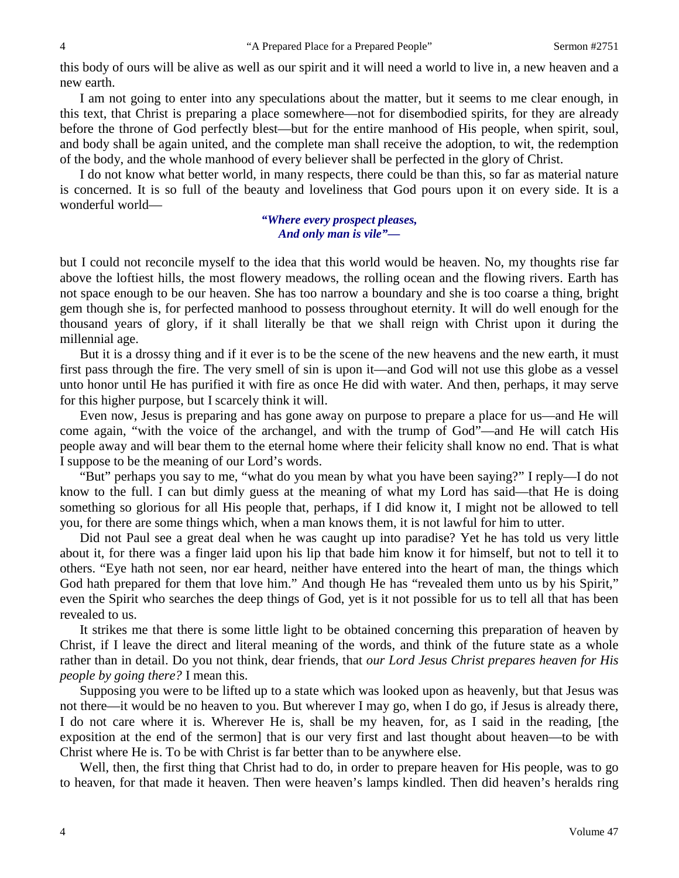this body of ours will be alive as well as our spirit and it will need a world to live in, a new heaven and a new earth.

I am not going to enter into any speculations about the matter, but it seems to me clear enough, in this text, that Christ is preparing a place somewhere—not for disembodied spirits, for they are already before the throne of God perfectly blest—but for the entire manhood of His people, when spirit, soul, and body shall be again united, and the complete man shall receive the adoption, to wit, the redemption of the body, and the whole manhood of every believer shall be perfected in the glory of Christ.

I do not know what better world, in many respects, there could be than this, so far as material nature is concerned. It is so full of the beauty and loveliness that God pours upon it on every side. It is a wonderful world—

#### *"Where every prospect pleases, And only man is vile"—*

but I could not reconcile myself to the idea that this world would be heaven. No, my thoughts rise far above the loftiest hills, the most flowery meadows, the rolling ocean and the flowing rivers. Earth has not space enough to be our heaven. She has too narrow a boundary and she is too coarse a thing, bright gem though she is, for perfected manhood to possess throughout eternity. It will do well enough for the thousand years of glory, if it shall literally be that we shall reign with Christ upon it during the millennial age.

But it is a drossy thing and if it ever is to be the scene of the new heavens and the new earth, it must first pass through the fire. The very smell of sin is upon it—and God will not use this globe as a vessel unto honor until He has purified it with fire as once He did with water. And then, perhaps, it may serve for this higher purpose, but I scarcely think it will.

Even now, Jesus is preparing and has gone away on purpose to prepare a place for us—and He will come again, "with the voice of the archangel, and with the trump of God"—and He will catch His people away and will bear them to the eternal home where their felicity shall know no end. That is what I suppose to be the meaning of our Lord's words.

"But" perhaps you say to me, "what do you mean by what you have been saying?" I reply—I do not know to the full. I can but dimly guess at the meaning of what my Lord has said—that He is doing something so glorious for all His people that, perhaps, if I did know it, I might not be allowed to tell you, for there are some things which, when a man knows them, it is not lawful for him to utter.

Did not Paul see a great deal when he was caught up into paradise? Yet he has told us very little about it, for there was a finger laid upon his lip that bade him know it for himself, but not to tell it to others. "Eye hath not seen, nor ear heard, neither have entered into the heart of man, the things which God hath prepared for them that love him." And though He has "revealed them unto us by his Spirit," even the Spirit who searches the deep things of God, yet is it not possible for us to tell all that has been revealed to us.

It strikes me that there is some little light to be obtained concerning this preparation of heaven by Christ, if I leave the direct and literal meaning of the words, and think of the future state as a whole rather than in detail. Do you not think, dear friends, that *our Lord Jesus Christ prepares heaven for His people by going there?* I mean this.

Supposing you were to be lifted up to a state which was looked upon as heavenly, but that Jesus was not there—it would be no heaven to you. But wherever I may go, when I do go, if Jesus is already there, I do not care where it is. Wherever He is, shall be my heaven, for, as I said in the reading, [the exposition at the end of the sermon] that is our very first and last thought about heaven—to be with Christ where He is. To be with Christ is far better than to be anywhere else.

Well, then, the first thing that Christ had to do, in order to prepare heaven for His people, was to go to heaven, for that made it heaven. Then were heaven's lamps kindled. Then did heaven's heralds ring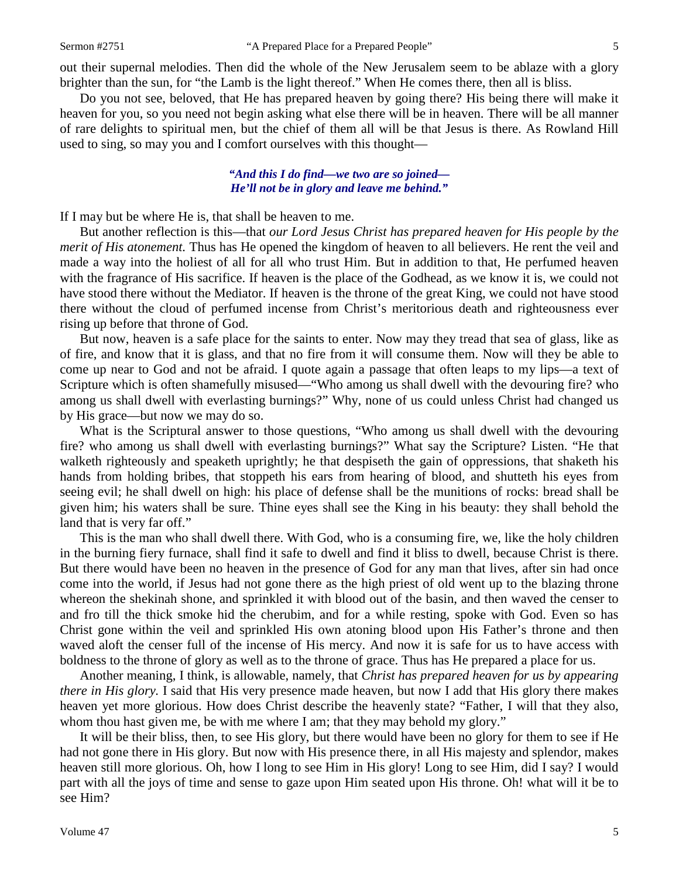out their supernal melodies. Then did the whole of the New Jerusalem seem to be ablaze with a glory brighter than the sun, for "the Lamb is the light thereof." When He comes there, then all is bliss.

Do you not see, beloved, that He has prepared heaven by going there? His being there will make it heaven for you, so you need not begin asking what else there will be in heaven. There will be all manner of rare delights to spiritual men, but the chief of them all will be that Jesus is there. As Rowland Hill used to sing, so may you and I comfort ourselves with this thought—

#### *"And this I do find—we two are so joined— He'll not be in glory and leave me behind."*

If I may but be where He is, that shall be heaven to me.

But another reflection is this—that *our Lord Jesus Christ has prepared heaven for His people by the merit of His atonement.* Thus has He opened the kingdom of heaven to all believers. He rent the veil and made a way into the holiest of all for all who trust Him. But in addition to that, He perfumed heaven with the fragrance of His sacrifice. If heaven is the place of the Godhead, as we know it is, we could not have stood there without the Mediator. If heaven is the throne of the great King, we could not have stood there without the cloud of perfumed incense from Christ's meritorious death and righteousness ever rising up before that throne of God.

But now, heaven is a safe place for the saints to enter. Now may they tread that sea of glass, like as of fire, and know that it is glass, and that no fire from it will consume them. Now will they be able to come up near to God and not be afraid. I quote again a passage that often leaps to my lips—a text of Scripture which is often shamefully misused—"Who among us shall dwell with the devouring fire? who among us shall dwell with everlasting burnings?" Why, none of us could unless Christ had changed us by His grace—but now we may do so.

What is the Scriptural answer to those questions, "Who among us shall dwell with the devouring fire? who among us shall dwell with everlasting burnings?" What say the Scripture? Listen. "He that walketh righteously and speaketh uprightly; he that despiseth the gain of oppressions, that shaketh his hands from holding bribes, that stoppeth his ears from hearing of blood, and shutteth his eyes from seeing evil; he shall dwell on high: his place of defense shall be the munitions of rocks: bread shall be given him; his waters shall be sure. Thine eyes shall see the King in his beauty: they shall behold the land that is very far off."

This is the man who shall dwell there. With God, who is a consuming fire, we, like the holy children in the burning fiery furnace, shall find it safe to dwell and find it bliss to dwell, because Christ is there. But there would have been no heaven in the presence of God for any man that lives, after sin had once come into the world, if Jesus had not gone there as the high priest of old went up to the blazing throne whereon the shekinah shone, and sprinkled it with blood out of the basin, and then waved the censer to and fro till the thick smoke hid the cherubim, and for a while resting, spoke with God. Even so has Christ gone within the veil and sprinkled His own atoning blood upon His Father's throne and then waved aloft the censer full of the incense of His mercy. And now it is safe for us to have access with boldness to the throne of glory as well as to the throne of grace. Thus has He prepared a place for us.

Another meaning, I think, is allowable, namely, that *Christ has prepared heaven for us by appearing there in His glory.* I said that His very presence made heaven, but now I add that His glory there makes heaven yet more glorious. How does Christ describe the heavenly state? "Father, I will that they also, whom thou hast given me, be with me where I am; that they may behold my glory."

It will be their bliss, then, to see His glory, but there would have been no glory for them to see if He had not gone there in His glory. But now with His presence there, in all His majesty and splendor, makes heaven still more glorious. Oh, how I long to see Him in His glory! Long to see Him, did I say? I would part with all the joys of time and sense to gaze upon Him seated upon His throne. Oh! what will it be to see Him?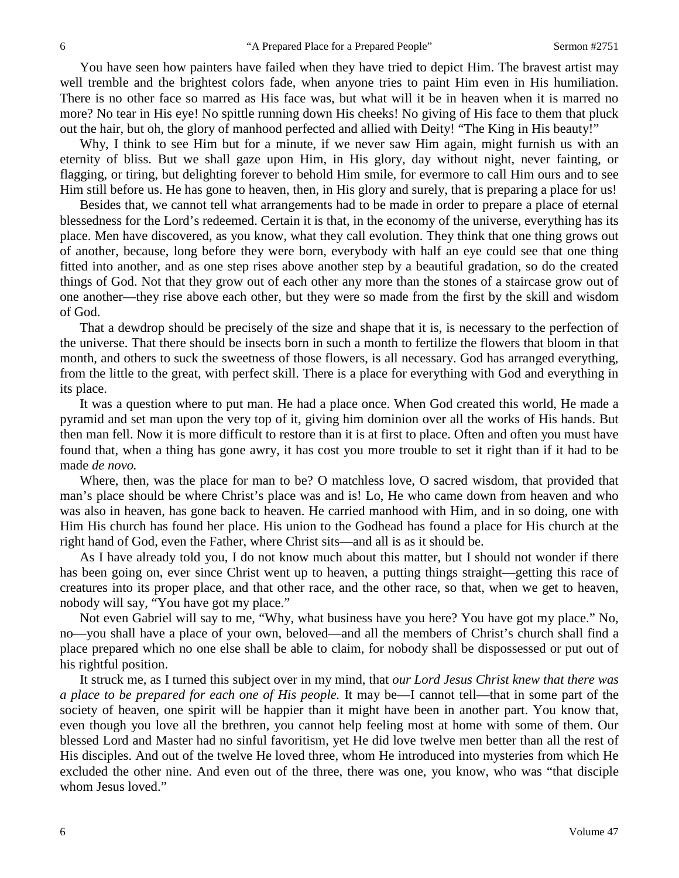You have seen how painters have failed when they have tried to depict Him. The bravest artist may well tremble and the brightest colors fade, when anyone tries to paint Him even in His humiliation. There is no other face so marred as His face was, but what will it be in heaven when it is marred no more? No tear in His eye! No spittle running down His cheeks! No giving of His face to them that pluck out the hair, but oh, the glory of manhood perfected and allied with Deity! "The King in His beauty!"

Why, I think to see Him but for a minute, if we never saw Him again, might furnish us with an eternity of bliss. But we shall gaze upon Him, in His glory, day without night, never fainting, or flagging, or tiring, but delighting forever to behold Him smile, for evermore to call Him ours and to see Him still before us. He has gone to heaven, then, in His glory and surely, that is preparing a place for us!

Besides that, we cannot tell what arrangements had to be made in order to prepare a place of eternal blessedness for the Lord's redeemed. Certain it is that, in the economy of the universe, everything has its place. Men have discovered, as you know, what they call evolution. They think that one thing grows out of another, because, long before they were born, everybody with half an eye could see that one thing fitted into another, and as one step rises above another step by a beautiful gradation, so do the created things of God. Not that they grow out of each other any more than the stones of a staircase grow out of one another—they rise above each other, but they were so made from the first by the skill and wisdom of God.

That a dewdrop should be precisely of the size and shape that it is, is necessary to the perfection of the universe. That there should be insects born in such a month to fertilize the flowers that bloom in that month, and others to suck the sweetness of those flowers, is all necessary. God has arranged everything, from the little to the great, with perfect skill. There is a place for everything with God and everything in its place.

It was a question where to put man. He had a place once. When God created this world, He made a pyramid and set man upon the very top of it, giving him dominion over all the works of His hands. But then man fell. Now it is more difficult to restore than it is at first to place. Often and often you must have found that, when a thing has gone awry, it has cost you more trouble to set it right than if it had to be made *de novo.* 

Where, then, was the place for man to be? O matchless love, O sacred wisdom, that provided that man's place should be where Christ's place was and is! Lo, He who came down from heaven and who was also in heaven, has gone back to heaven. He carried manhood with Him, and in so doing, one with Him His church has found her place. His union to the Godhead has found a place for His church at the right hand of God, even the Father, where Christ sits—and all is as it should be.

As I have already told you, I do not know much about this matter, but I should not wonder if there has been going on, ever since Christ went up to heaven, a putting things straight—getting this race of creatures into its proper place, and that other race, and the other race, so that, when we get to heaven, nobody will say, "You have got my place."

Not even Gabriel will say to me, "Why, what business have you here? You have got my place." No, no—you shall have a place of your own, beloved—and all the members of Christ's church shall find a place prepared which no one else shall be able to claim, for nobody shall be dispossessed or put out of his rightful position.

It struck me, as I turned this subject over in my mind, that *our Lord Jesus Christ knew that there was a place to be prepared for each one of His people.* It may be—I cannot tell—that in some part of the society of heaven, one spirit will be happier than it might have been in another part. You know that, even though you love all the brethren, you cannot help feeling most at home with some of them. Our blessed Lord and Master had no sinful favoritism, yet He did love twelve men better than all the rest of His disciples. And out of the twelve He loved three, whom He introduced into mysteries from which He excluded the other nine. And even out of the three, there was one, you know, who was "that disciple whom Jesus loved."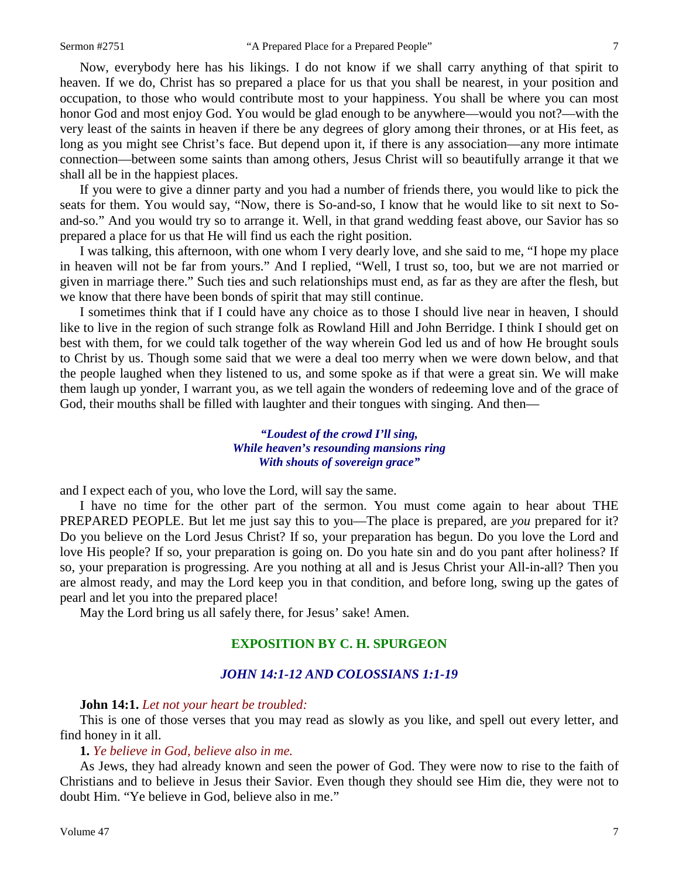Now, everybody here has his likings. I do not know if we shall carry anything of that spirit to heaven. If we do, Christ has so prepared a place for us that you shall be nearest, in your position and occupation, to those who would contribute most to your happiness. You shall be where you can most honor God and most enjoy God. You would be glad enough to be anywhere—would you not?—with the very least of the saints in heaven if there be any degrees of glory among their thrones, or at His feet, as long as you might see Christ's face. But depend upon it, if there is any association—any more intimate connection—between some saints than among others, Jesus Christ will so beautifully arrange it that we shall all be in the happiest places.

If you were to give a dinner party and you had a number of friends there, you would like to pick the seats for them. You would say, "Now, there is So-and-so, I know that he would like to sit next to Soand-so." And you would try so to arrange it. Well, in that grand wedding feast above, our Savior has so prepared a place for us that He will find us each the right position.

I was talking, this afternoon, with one whom I very dearly love, and she said to me, "I hope my place in heaven will not be far from yours." And I replied, "Well, I trust so, too, but we are not married or given in marriage there." Such ties and such relationships must end, as far as they are after the flesh, but we know that there have been bonds of spirit that may still continue.

I sometimes think that if I could have any choice as to those I should live near in heaven, I should like to live in the region of such strange folk as Rowland Hill and John Berridge. I think I should get on best with them, for we could talk together of the way wherein God led us and of how He brought souls to Christ by us. Though some said that we were a deal too merry when we were down below, and that the people laughed when they listened to us, and some spoke as if that were a great sin. We will make them laugh up yonder, I warrant you, as we tell again the wonders of redeeming love and of the grace of God, their mouths shall be filled with laughter and their tongues with singing. And then—

## *"Loudest of the crowd I'll sing, While heaven's resounding mansions ring With shouts of sovereign grace"*

and I expect each of you, who love the Lord, will say the same.

I have no time for the other part of the sermon. You must come again to hear about THE PREPARED PEOPLE. But let me just say this to you—The place is prepared, are *you* prepared for it? Do you believe on the Lord Jesus Christ? If so, your preparation has begun. Do you love the Lord and love His people? If so, your preparation is going on. Do you hate sin and do you pant after holiness? If so, your preparation is progressing. Are you nothing at all and is Jesus Christ your All-in-all? Then you are almost ready, and may the Lord keep you in that condition, and before long, swing up the gates of pearl and let you into the prepared place!

May the Lord bring us all safely there, for Jesus' sake! Amen.

# **EXPOSITION BY C. H. SPURGEON**

#### *JOHN 14:1-12 AND COLOSSIANS 1:1-19*

#### **John 14:1.** *Let not your heart be troubled:*

This is one of those verses that you may read as slowly as you like, and spell out every letter, and find honey in it all.

#### **1.** *Ye believe in God, believe also in me.*

As Jews, they had already known and seen the power of God. They were now to rise to the faith of Christians and to believe in Jesus their Savior. Even though they should see Him die, they were not to doubt Him. "Ye believe in God, believe also in me."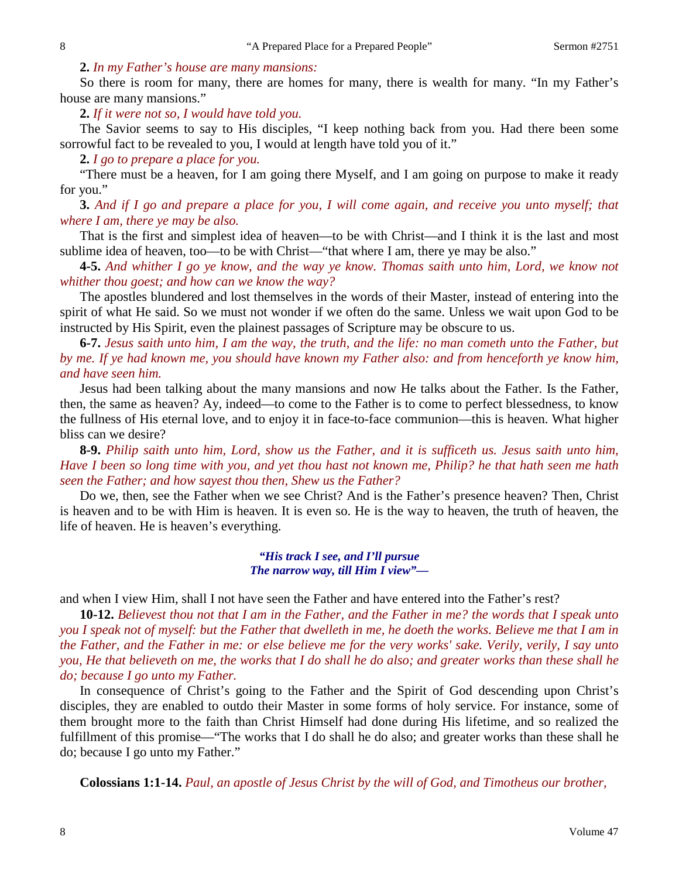#### **2.** *In my Father's house are many mansions:*

So there is room for many, there are homes for many, there is wealth for many. "In my Father's house are many mansions."

**2.** *If it were not so, I would have told you.* 

The Savior seems to say to His disciples, "I keep nothing back from you. Had there been some sorrowful fact to be revealed to you, I would at length have told you of it."

**2.** *I go to prepare a place for you.*

"There must be a heaven, for I am going there Myself, and I am going on purpose to make it ready for you."

**3.** *And if I go and prepare a place for you, I will come again, and receive you unto myself; that where I am, there ye may be also.* 

That is the first and simplest idea of heaven—to be with Christ—and I think it is the last and most sublime idea of heaven, too—to be with Christ—"that where I am, there ye may be also."

**4-5.** *And whither I go ye know, and the way ye know. Thomas saith unto him, Lord, we know not whither thou goest; and how can we know the way?*

The apostles blundered and lost themselves in the words of their Master, instead of entering into the spirit of what He said. So we must not wonder if we often do the same. Unless we wait upon God to be instructed by His Spirit, even the plainest passages of Scripture may be obscure to us.

**6-7.** *Jesus saith unto him, I am the way, the truth, and the life: no man cometh unto the Father, but by me. If ye had known me, you should have known my Father also: and from henceforth ye know him, and have seen him.*

Jesus had been talking about the many mansions and now He talks about the Father. Is the Father, then, the same as heaven? Ay, indeed—to come to the Father is to come to perfect blessedness, to know the fullness of His eternal love, and to enjoy it in face-to-face communion—this is heaven. What higher bliss can we desire?

**8-9.** *Philip saith unto him, Lord, show us the Father, and it is sufficeth us. Jesus saith unto him, Have I been so long time with you, and yet thou hast not known me, Philip? he that hath seen me hath seen the Father; and how sayest thou then, Shew us the Father?*

Do we, then, see the Father when we see Christ? And is the Father's presence heaven? Then, Christ is heaven and to be with Him is heaven. It is even so. He is the way to heaven, the truth of heaven, the life of heaven. He is heaven's everything.

> *"His track I see, and I'll pursue The narrow way, till Him I view"—*

and when I view Him, shall I not have seen the Father and have entered into the Father's rest?

**10-12.** *Believest thou not that I am in the Father, and the Father in me? the words that I speak unto you I speak not of myself: but the Father that dwelleth in me, he doeth the works. Believe me that I am in the Father, and the Father in me: or else believe me for the very works' sake. Verily, verily, I say unto you, He that believeth on me, the works that I do shall he do also; and greater works than these shall he do; because I go unto my Father.*

In consequence of Christ's going to the Father and the Spirit of God descending upon Christ's disciples, they are enabled to outdo their Master in some forms of holy service. For instance, some of them brought more to the faith than Christ Himself had done during His lifetime, and so realized the fulfillment of this promise—"The works that I do shall he do also; and greater works than these shall he do; because I go unto my Father."

**Colossians 1:1-14.** *Paul, an apostle of Jesus Christ by the will of God, and Timotheus our brother,*